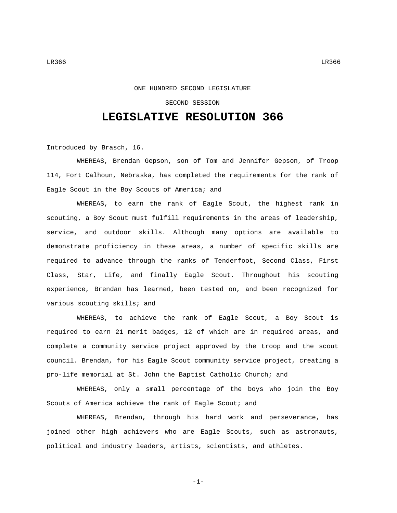## SECOND SESSION

## **LEGISLATIVE RESOLUTION 366**

Introduced by Brasch, 16.

WHEREAS, Brendan Gepson, son of Tom and Jennifer Gepson, of Troop 114, Fort Calhoun, Nebraska, has completed the requirements for the rank of Eagle Scout in the Boy Scouts of America; and

WHEREAS, to earn the rank of Eagle Scout, the highest rank in scouting, a Boy Scout must fulfill requirements in the areas of leadership, service, and outdoor skills. Although many options are available to demonstrate proficiency in these areas, a number of specific skills are required to advance through the ranks of Tenderfoot, Second Class, First Class, Star, Life, and finally Eagle Scout. Throughout his scouting experience, Brendan has learned, been tested on, and been recognized for various scouting skills; and

WHEREAS, to achieve the rank of Eagle Scout, a Boy Scout is required to earn 21 merit badges, 12 of which are in required areas, and complete a community service project approved by the troop and the scout council. Brendan, for his Eagle Scout community service project, creating a pro-life memorial at St. John the Baptist Catholic Church; and

WHEREAS, only a small percentage of the boys who join the Boy Scouts of America achieve the rank of Eagle Scout; and

WHEREAS, Brendan, through his hard work and perseverance, has joined other high achievers who are Eagle Scouts, such as astronauts, political and industry leaders, artists, scientists, and athletes.

-1-